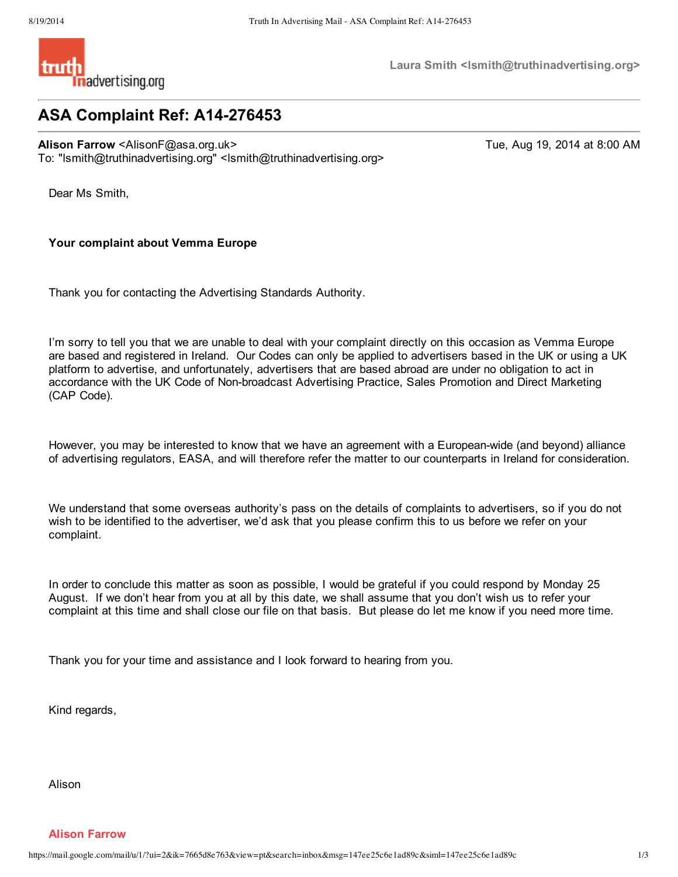

**Laura Smith <lsmith@truthinadvertising.org>**

# **ASA Complaint Ref: A14-276453**

**Alison Farrow** <AlisonF@asa.org.uk> Tue, Aug 19, 2014 at 8:00 AM To: "lsmith@truthinadvertising.org" <lsmith@truthinadvertising.org>

Dear Ms Smith,

## **Your complaint about Vemma Europe**

Thank you for contacting the Advertising Standards Authority.

I'm sorry to tell you that we are unable to deal with your complaint directly on this occasion as Vemma Europe are based and registered in Ireland. Our Codes can only be applied to advertisers based in the UK or using a UK platform to advertise, and unfortunately, advertisers that are based abroad are under no obligation to act in accordance with the UK Code of Non-broadcast Advertising Practice, Sales Promotion and Direct Marketing (CAP Code).

However, you may be interested to know that we have an agreement with a European-wide (and beyond) alliance of advertising regulators, EASA, and will therefore refer the matter to our counterparts in Ireland for consideration.

We understand that some overseas authority's pass on the details of complaints to advertisers, so if you do not wish to be identified to the advertiser, we'd ask that you please confirm this to us before we refer on your complaint.

In order to conclude this matter as soon as possible, I would be grateful if you could respond by Monday 25 August. If we don't hear from you at all by this date, we shall assume that you don't wish us to refer your complaint at this time and shall close our file on that basis. But please do let me know if you need more time.

Thank you for your time and assistance and I look forward to hearing from you.

Kind regards,

Alison

**Alison Farrow**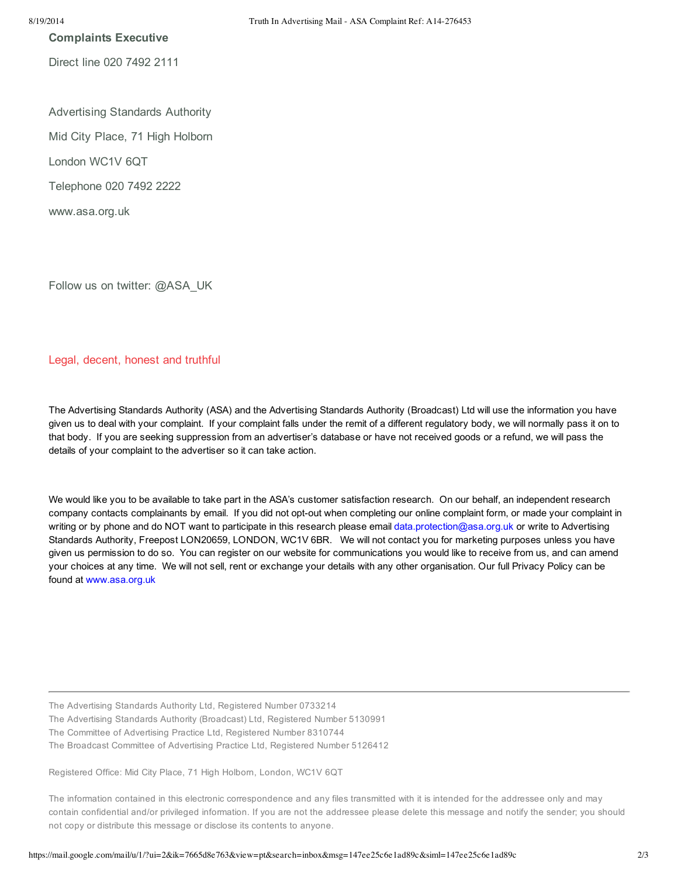**Complaints Executive**

Direct line 020 7492 2111

Advertising Standards Authority Mid City Place, 71 High Holborn London WC1V 6QT Telephone 020 7492 2222 www.asa.org.uk

Follow us on twitter: @ASA\_UK

### Legal, decent, honest and truthful

The Advertising Standards Authority (ASA) and the Advertising Standards Authority (Broadcast) Ltd will use the information you have given us to deal with your complaint. If your complaint falls under the remit of a different regulatory body, we will normally pass it on to that body. If you are seeking suppression from an advertiser's database or have not received goods or a refund, we will pass the details of your complaint to the advertiser so it can take action.

We would like you to be available to take part in the ASA's customer satisfaction research. On our behalf, an independent research company contacts complainants by email. If you did not opt-out when completing our online complaint form, or made your complaint in writing or by phone and do NOT want to participate in this research please email data.protection@asa.org.uk or write to Advertising Standards Authority, Freepost LON20659, LONDON, WC1V 6BR. We will not contact you for marketing purposes unless you have given us permission to do so. You can register on our website for communications you would like to receive from us, and can amend your choices at any time. We will not sell, rent or exchange your details with any other organisation. Our full Privacy Policy can be found at www.asa.org.uk

The Advertising Standards Authority Ltd, Registered Number 0733214

The Advertising Standards Authority (Broadcast) Ltd, Registered Number 5130991

The Committee of Advertising Practice Ltd, Registered Number 8310744

The Broadcast Committee of Advertising Practice Ltd, Registered Number 5126412

Registered Office: Mid City Place, 71 High Holborn, London, WC1V 6QT

The information contained in this electronic correspondence and any files transmitted with it is intended for the addressee only and may contain confidential and/or privileged information. If you are not the addressee please delete this message and notify the sender; you should not copy or distribute this message or disclose its contents to anyone.